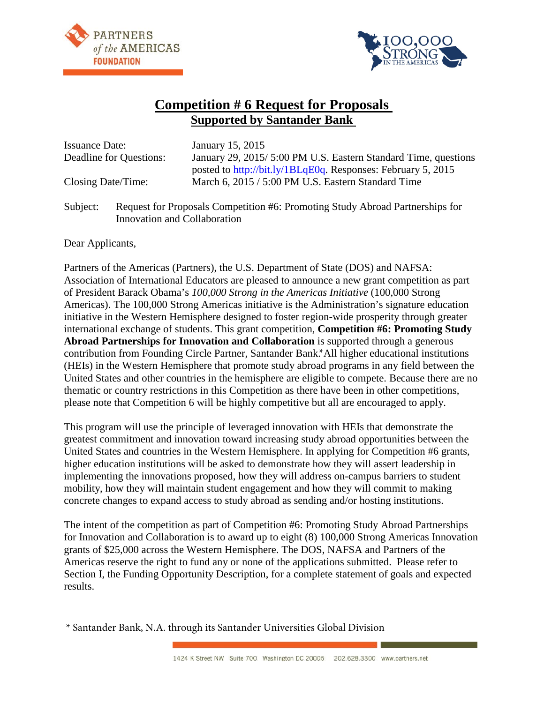



# **Competition # 6 Request for Proposals Supported by Santander Bank**

| <b>Issuance Date:</b>   | January 15, 2015                                               |
|-------------------------|----------------------------------------------------------------|
| Deadline for Questions: | January 29, 2015/5:00 PM U.S. Eastern Standard Time, questions |
|                         | posted to http://bit.ly/1BLqE0q. Responses: February 5, 2015   |
| Closing Date/Time:      | March 6, 2015 / 5:00 PM U.S. Eastern Standard Time             |
|                         |                                                                |

Subject: Request for Proposals Competition #6: Promoting Study Abroad Partnerships for Innovation and Collaboration

Dear Applicants,

Partners of the Americas (Partners), the U.S. Department of State (DOS) and NAFSA: Association of International Educators are pleased to announce a new grant competition as part of President Barack Obama's *100,000 Strong in the Americas Initiative* (100,000 Strong Americas). The 100,000 Strong Americas initiative is the Administration's signature education initiative in the Western Hemisphere designed to foster region-wide prosperity through greater international exchange of students. This grant competition, **Competition #6: Promoting Study Abroad Partnerships for Innovation and Collaboration** is supported through a generous contribution from Founding Circle Partner, Santander Bank.\* All higher educational institutions (HEIs) in the Western Hemisphere that promote study abroad programs in any field between the United States and other countries in the hemisphere are eligible to compete. Because there are no thematic or country restrictions in this Competition as there have been in other competitions, please note that Competition 6 will be highly competitive but all are encouraged to apply.

This program will use the principle of leveraged innovation with HEIs that demonstrate the greatest commitment and innovation toward increasing study abroad opportunities between the United States and countries in the Western Hemisphere. In applying for Competition #6 grants, higher education institutions will be asked to demonstrate how they will assert leadership in implementing the innovations proposed, how they will address on-campus barriers to student mobility, how they will maintain student engagement and how they will commit to making concrete changes to expand access to study abroad as sending and/or hosting institutions.

The intent of the competition as part of Competition #6: Promoting Study Abroad Partnerships for Innovation and Collaboration is to award up to eight (8) 100,000 Strong Americas Innovation grants of \$25,000 across the Western Hemisphere. The DOS, NAFSA and Partners of the Americas reserve the right to fund any or none of the applications submitted. Please refer to Section I, the Funding Opportunity Description, for a complete statement of goals and expected results.

\* Santander Bank, N.A. through its Santander Universities Global Division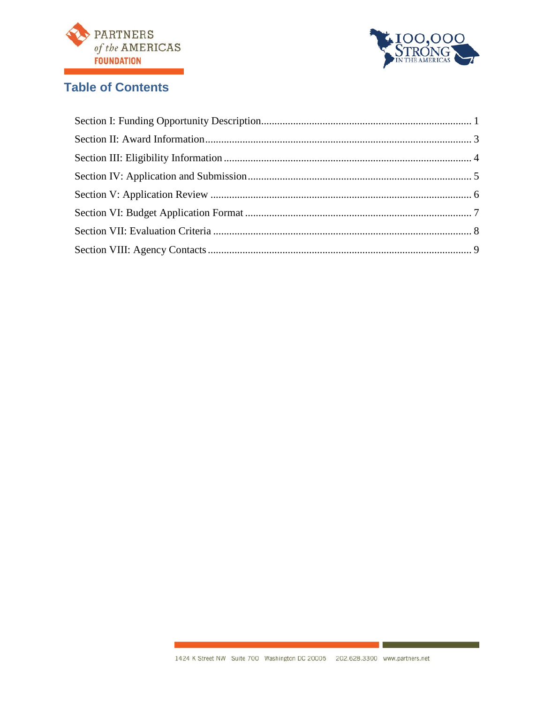



# **Table of Contents**

 $\mathcal{L}_{\rm{eff}}$  and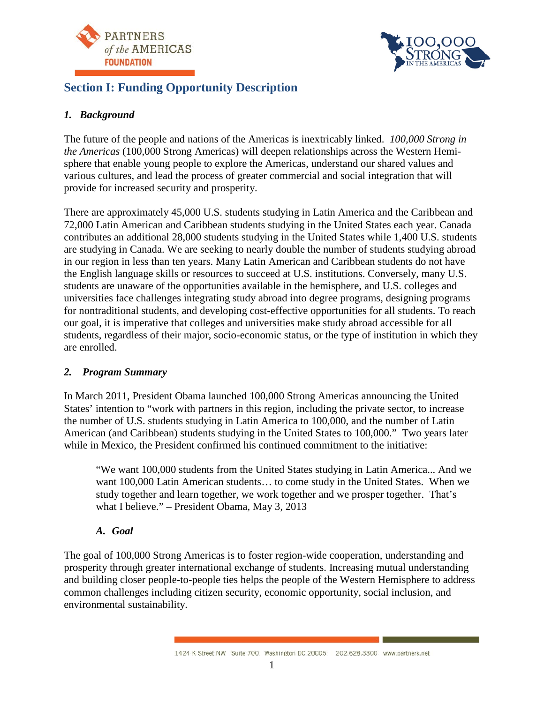



# **Section I: Funding Opportunity Description**

### *1. Background*

The future of the people and nations of the Americas is inextricably linked. *100,000 Strong in the Americas* (100,000 Strong Americas) will deepen relationships across the Western Hemisphere that enable young people to explore the Americas, understand our shared values and various cultures, and lead the process of greater commercial and social integration that will provide for increased security and prosperity.

There are approximately 45,000 U.S. students studying in Latin America and the Caribbean and 72,000 Latin American and Caribbean students studying in the United States each year. Canada contributes an additional 28,000 students studying in the United States while 1,400 U.S. students are studying in Canada. We are seeking to nearly double the number of students studying abroad in our region in less than ten years. Many Latin American and Caribbean students do not have the English language skills or resources to succeed at U.S. institutions. Conversely, many U.S. students are unaware of the opportunities available in the hemisphere, and U.S. colleges and universities face challenges integrating study abroad into degree programs, designing programs for nontraditional students, and developing cost-effective opportunities for all students. To reach our goal, it is imperative that colleges and universities make study abroad accessible for all students, regardless of their major, socio-economic status, or the type of institution in which they are enrolled.

#### *2. Program Summary*

In March 2011, President Obama launched 100,000 Strong Americas announcing the United States' intention to "work with partners in this region, including the private sector, to increase the number of U.S. students studying in Latin America to 100,000, and the number of Latin American (and Caribbean) students studying in the United States to 100,000." Two years later while in Mexico, the President confirmed his continued commitment to the initiative:

"We want 100,000 students from the United States studying in Latin America... And we want 100,000 Latin American students… to come study in the United States. When we study together and learn together, we work together and we prosper together. That's what I believe." – President Obama, May 3, 2013

#### *A. Goal*

The goal of 100,000 Strong Americas is to foster region-wide cooperation, understanding and prosperity through greater international exchange of students. Increasing mutual understanding and building closer people-to-people ties helps the people of the Western Hemisphere to address common challenges including citizen security, economic opportunity, social inclusion, and environmental sustainability.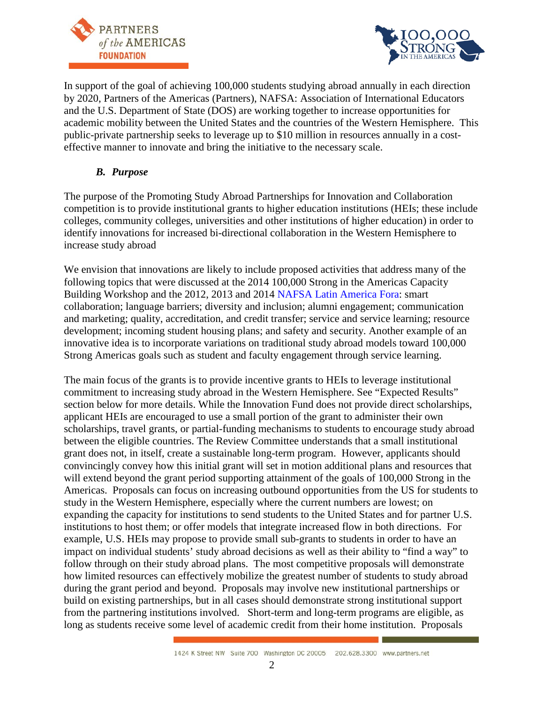



In support of the goal of achieving 100,000 students studying abroad annually in each direction by 2020, Partners of the Americas (Partners), NAFSA: Association of International Educators and the U.S. Department of State (DOS) are working together to increase opportunities for academic mobility between the United States and the countries of the Western Hemisphere. This public-private partnership seeks to leverage up to \$10 million in resources annually in a costeffective manner to innovate and bring the initiative to the necessary scale.

#### *B. Purpose*

The purpose of the Promoting Study Abroad Partnerships for Innovation and Collaboration competition is to provide institutional grants to higher education institutions (HEIs; these include colleges, community colleges, universities and other institutions of higher education) in order to identify innovations for increased bi-directional collaboration in the Western Hemisphere to increase study abroad

We envision that innovations are likely to include proposed activities that address many of the following topics that were discussed at the 2014 100,000 Strong in the Americas Capacity Building Workshop and the 2012, 2013 and 2014 [NAFSA Latin America Fora:](http://www.nafsa.org/Find_Resources/Publications/Periodicals/Epublications/New_Approaches_to_Cooperation_with_Latin_America/) smart collaboration; language barriers; diversity and inclusion; alumni engagement; communication and marketing; quality, accreditation, and credit transfer; service and service learning; resource development; incoming student housing plans; and safety and security. Another example of an innovative idea is to incorporate variations on traditional study abroad models toward 100,000 Strong Americas goals such as student and faculty engagement through service learning.

The main focus of the grants is to provide incentive grants to HEIs to leverage institutional commitment to increasing study abroad in the Western Hemisphere. See "Expected Results" section below for more details. While the Innovation Fund does not provide direct scholarships, applicant HEIs are encouraged to use a small portion of the grant to administer their own scholarships, travel grants, or partial-funding mechanisms to students to encourage study abroad between the eligible countries. The Review Committee understands that a small institutional grant does not, in itself, create a sustainable long-term program. However, applicants should convincingly convey how this initial grant will set in motion additional plans and resources that will extend beyond the grant period supporting attainment of the goals of 100,000 Strong in the Americas. Proposals can focus on increasing outbound opportunities from the US for students to study in the Western Hemisphere, especially where the current numbers are lowest; on expanding the capacity for institutions to send students to the United States and for partner U.S. institutions to host them; or offer models that integrate increased flow in both directions. For example, U.S. HEIs may propose to provide small sub-grants to students in order to have an impact on individual students' study abroad decisions as well as their ability to "find a way" to follow through on their study abroad plans. The most competitive proposals will demonstrate how limited resources can effectively mobilize the greatest number of students to study abroad during the grant period and beyond. Proposals may involve new institutional partnerships or build on existing partnerships, but in all cases should demonstrate strong institutional support from the partnering institutions involved. Short-term and long-term programs are eligible, as long as students receive some level of academic credit from their home institution. Proposals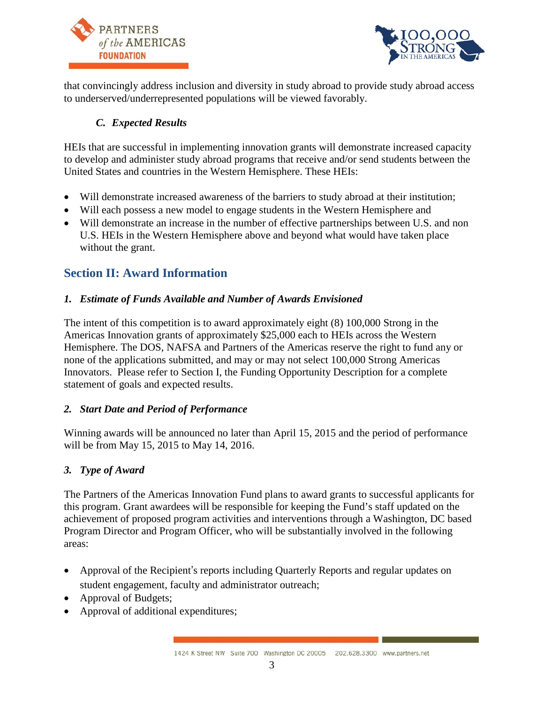



that convincingly address inclusion and diversity in study abroad to provide study abroad access to underserved/underrepresented populations will be viewed favorably.

### *C. Expected Results*

HEIs that are successful in implementing innovation grants will demonstrate increased capacity to develop and administer study abroad programs that receive and/or send students between the United States and countries in the Western Hemisphere. These HEIs:

- Will demonstrate increased awareness of the barriers to study abroad at their institution;
- Will each possess a new model to engage students in the Western Hemisphere and
- Will demonstrate an increase in the number of effective partnerships between U.S. and non U.S. HEIs in the Western Hemisphere above and beyond what would have taken place without the grant.

# **Section II: Award Information**

### *1. Estimate of Funds Available and Number of Awards Envisioned*

The intent of this competition is to award approximately eight (8) 100,000 Strong in the Americas Innovation grants of approximately \$25,000 each to HEIs across the Western Hemisphere. The DOS, NAFSA and Partners of the Americas reserve the right to fund any or none of the applications submitted, and may or may not select 100,000 Strong Americas Innovators. Please refer to Section I, the Funding Opportunity Description for a complete statement of goals and expected results.

#### *2. Start Date and Period of Performance*

Winning awards will be announced no later than April 15, 2015 and the period of performance will be from May 15, 2015 to May 14, 2016.

#### *3. Type of Award*

The Partners of the Americas Innovation Fund plans to award grants to successful applicants for this program. Grant awardees will be responsible for keeping the Fund's staff updated on the achievement of proposed program activities and interventions through a Washington, DC based Program Director and Program Officer, who will be substantially involved in the following areas:

- Approval of the Recipient's reports including Quarterly Reports and regular updates on student engagement, faculty and administrator outreach;
- Approval of Budgets;
- Approval of additional expenditures;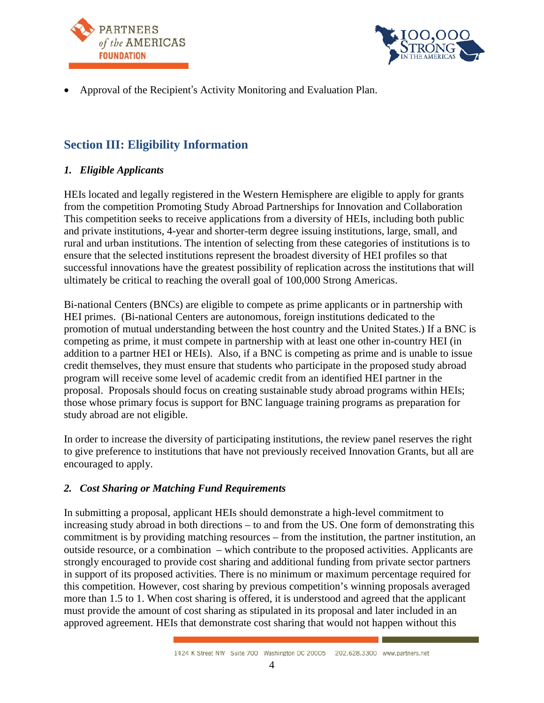



• Approval of the Recipient's Activity Monitoring and Evaluation Plan.

### **Section III: Eligibility Information**

#### *1. Eligible Applicants*

HEIs located and legally registered in the Western Hemisphere are eligible to apply for grants from the competition Promoting Study Abroad Partnerships for Innovation and Collaboration This competition seeks to receive applications from a diversity of HEIs, including both public and private institutions, 4-year and shorter-term degree issuing institutions, large, small, and rural and urban institutions. The intention of selecting from these categories of institutions is to ensure that the selected institutions represent the broadest diversity of HEI profiles so that successful innovations have the greatest possibility of replication across the institutions that will ultimately be critical to reaching the overall goal of 100,000 Strong Americas.

Bi-national Centers (BNCs) are eligible to compete as prime applicants or in partnership with HEI primes. (Bi-national Centers are autonomous, foreign institutions dedicated to the promotion of mutual understanding between the host country and the United States.) If a BNC is competing as prime, it must compete in partnership with at least one other in-country HEI (in addition to a partner HEI or HEIs). Also, if a BNC is competing as prime and is unable to issue credit themselves, they must ensure that students who participate in the proposed study abroad program will receive some level of academic credit from an identified HEI partner in the proposal. Proposals should focus on creating sustainable study abroad programs within HEIs; those whose primary focus is support for BNC language training programs as preparation for study abroad are not eligible.

In order to increase the diversity of participating institutions, the review panel reserves the right to give preference to institutions that have not previously received Innovation Grants, but all are encouraged to apply.

#### *2. Cost Sharing or Matching Fund Requirements*

In submitting a proposal, applicant HEIs should demonstrate a high-level commitment to increasing study abroad in both directions – to and from the US. One form of demonstrating this commitment is by providing matching resources – from the institution, the partner institution, an outside resource, or a combination – which contribute to the proposed activities. Applicants are strongly encouraged to provide cost sharing and additional funding from private sector partners in support of its proposed activities. There is no minimum or maximum percentage required for this competition. However, cost sharing by previous competition's winning proposals averaged more than 1.5 to 1. When cost sharing is offered, it is understood and agreed that the applicant must provide the amount of cost sharing as stipulated in its proposal and later included in an approved agreement. HEIs that demonstrate cost sharing that would not happen without this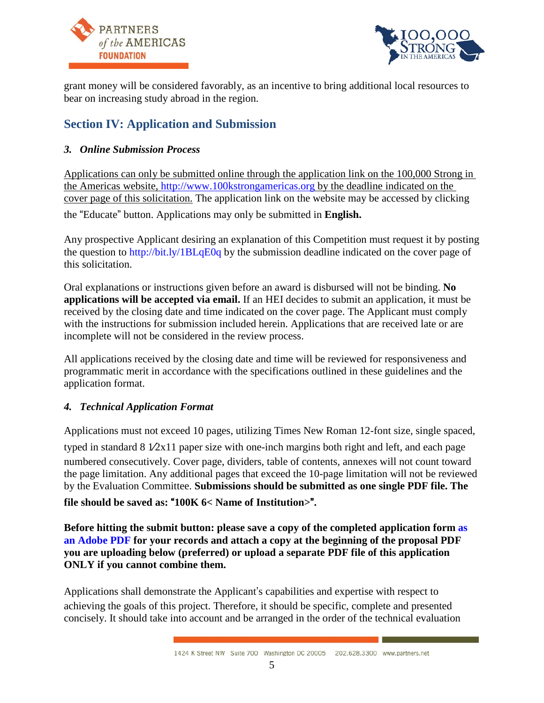



grant money will be considered favorably, as an incentive to bring additional local resources to bear on increasing study abroad in the region.

# **Section IV: Application and Submission**

### *3. Online Submission Process*

Applications can only be submitted online through the application link on the 100,000 Strong in the Americas website, [http://www.100kstrongamericas.org](http://www.100kstrongamericas.org/) by the deadline indicated on the cover page of this solicitation. The application link on the website may be accessed by clicking the "Educate" button. Applications may only be submitted in **English.**

Any prospective Applicant desiring an explanation of this Competition must request it by posting the question to<http://bit.ly/1BLqE0q> by the submission deadline indicated on the cover page of this solicitation.

Oral explanations or instructions given before an award is disbursed will not be binding. **No applications will be accepted via email.** If an HEI decides to submit an application, it must be received by the closing date and time indicated on the cover page. The Applicant must comply with the instructions for submission included herein. Applications that are received late or are incomplete will not be considered in the review process.

All applications received by the closing date and time will be reviewed for responsiveness and programmatic merit in accordance with the specifications outlined in these guidelines and the application format.

#### *4. Technical Application Format*

Applications must not exceed 10 pages, utilizing Times New Roman 12-font size, single spaced,

typed in standard  $8\sqrt{2x}11$  paper size with one-inch margins both right and left, and each page numbered consecutively. Cover page, dividers, table of contents, annexes will not count toward the page limitation. Any additional pages that exceed the 10-page limitation will not be reviewed by the Evaluation Committee. **Submissions should be submitted as one single PDF file. The** 

#### **file should be saved as:** "**100K 6< Name of Institution>**"**.**

**Before hitting the submit button: please save a copy of the completed application for[m as](http://www.adobe.com/products/acrobat/print-to-pdf.html)  [an Adobe PDF](http://www.adobe.com/products/acrobat/print-to-pdf.html) for your records and attach a copy at the beginning of the proposal PDF you are uploading below (preferred) or upload a separate PDF file of this application ONLY if you cannot combine them.** 

Applications shall demonstrate the Applicant's capabilities and expertise with respect to achieving the goals of this project. Therefore, it should be specific, complete and presented concisely. It should take into account and be arranged in the order of the technical evaluation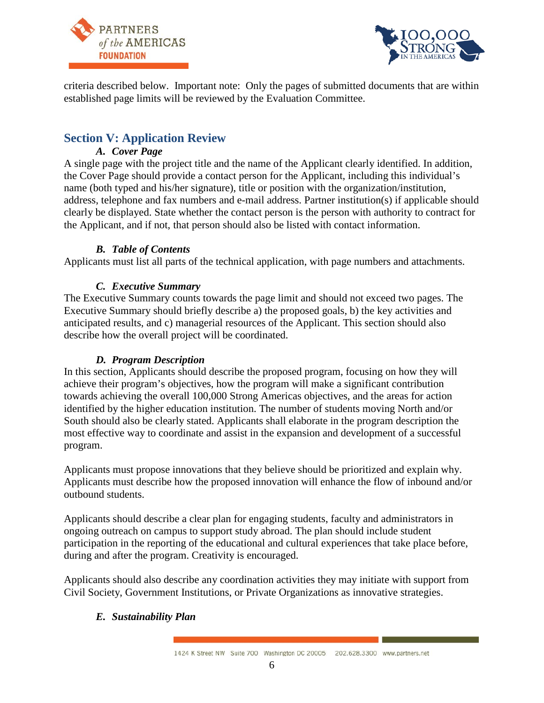



criteria described below. Important note: Only the pages of submitted documents that are within established page limits will be reviewed by the Evaluation Committee.

### **Section V: Application Review**

### *A. Cover Page*

A single page with the project title and the name of the Applicant clearly identified. In addition, the Cover Page should provide a contact person for the Applicant, including this individual's name (both typed and his/her signature), title or position with the organization/institution, address, telephone and fax numbers and e-mail address. Partner institution(s) if applicable should clearly be displayed. State whether the contact person is the person with authority to contract for the Applicant, and if not, that person should also be listed with contact information.

#### *B. Table of Contents*

Applicants must list all parts of the technical application, with page numbers and attachments.

### *C. Executive Summary*

The Executive Summary counts towards the page limit and should not exceed two pages. The Executive Summary should briefly describe a) the proposed goals, b) the key activities and anticipated results, and c) managerial resources of the Applicant. This section should also describe how the overall project will be coordinated.

#### *D. Program Description*

In this section, Applicants should describe the proposed program, focusing on how they will achieve their program's objectives, how the program will make a significant contribution towards achieving the overall 100,000 Strong Americas objectives, and the areas for action identified by the higher education institution. The number of students moving North and/or South should also be clearly stated. Applicants shall elaborate in the program description the most effective way to coordinate and assist in the expansion and development of a successful program.

Applicants must propose innovations that they believe should be prioritized and explain why. Applicants must describe how the proposed innovation will enhance the flow of inbound and/or outbound students.

Applicants should describe a clear plan for engaging students, faculty and administrators in ongoing outreach on campus to support study abroad. The plan should include student participation in the reporting of the educational and cultural experiences that take place before, during and after the program. Creativity is encouraged.

Applicants should also describe any coordination activities they may initiate with support from Civil Society, Government Institutions, or Private Organizations as innovative strategies.

#### *E. Sustainability Plan*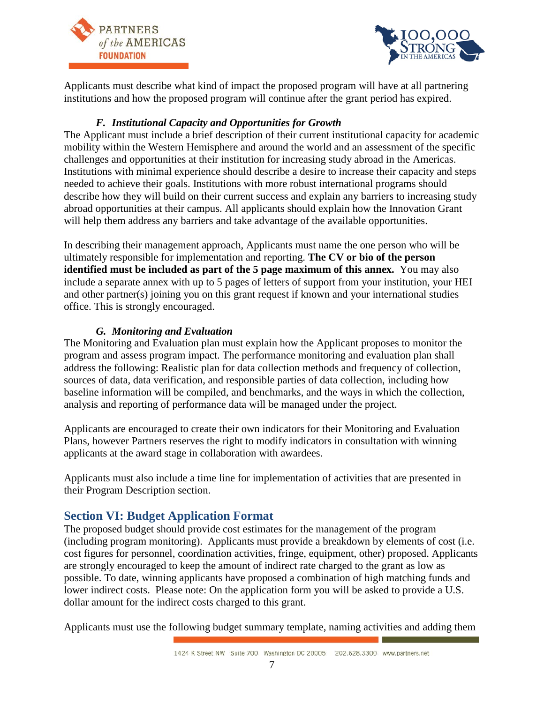



Applicants must describe what kind of impact the proposed program will have at all partnering institutions and how the proposed program will continue after the grant period has expired.

### *F. Institutional Capacity and Opportunities for Growth*

The Applicant must include a brief description of their current institutional capacity for academic mobility within the Western Hemisphere and around the world and an assessment of the specific challenges and opportunities at their institution for increasing study abroad in the Americas. Institutions with minimal experience should describe a desire to increase their capacity and steps needed to achieve their goals. Institutions with more robust international programs should describe how they will build on their current success and explain any barriers to increasing study abroad opportunities at their campus. All applicants should explain how the Innovation Grant will help them address any barriers and take advantage of the available opportunities.

In describing their management approach, Applicants must name the one person who will be ultimately responsible for implementation and reporting. **The CV or bio of the person identified must be included as part of the 5 page maximum of this annex.** You may also include a separate annex with up to 5 pages of letters of support from your institution, your HEI and other partner(s) joining you on this grant request if known and your international studies office. This is strongly encouraged.

### *G. Monitoring and Evaluation*

The Monitoring and Evaluation plan must explain how the Applicant proposes to monitor the program and assess program impact. The performance monitoring and evaluation plan shall address the following: Realistic plan for data collection methods and frequency of collection, sources of data, data verification, and responsible parties of data collection, including how baseline information will be compiled, and benchmarks, and the ways in which the collection, analysis and reporting of performance data will be managed under the project.

Applicants are encouraged to create their own indicators for their Monitoring and Evaluation Plans, however Partners reserves the right to modify indicators in consultation with winning applicants at the award stage in collaboration with awardees.

Applicants must also include a time line for implementation of activities that are presented in their Program Description section.

### **Section VI: Budget Application Format**

The proposed budget should provide cost estimates for the management of the program (including program monitoring). Applicants must provide a breakdown by elements of cost (i.e. cost figures for personnel, coordination activities, fringe, equipment, other) proposed. Applicants are strongly encouraged to keep the amount of indirect rate charged to the grant as low as possible. To date, winning applicants have proposed a combination of high matching funds and lower indirect costs. Please note: On the application form you will be asked to provide a U.S. dollar amount for the indirect costs charged to this grant.

Applicants must use the following budget summary template, naming activities and adding them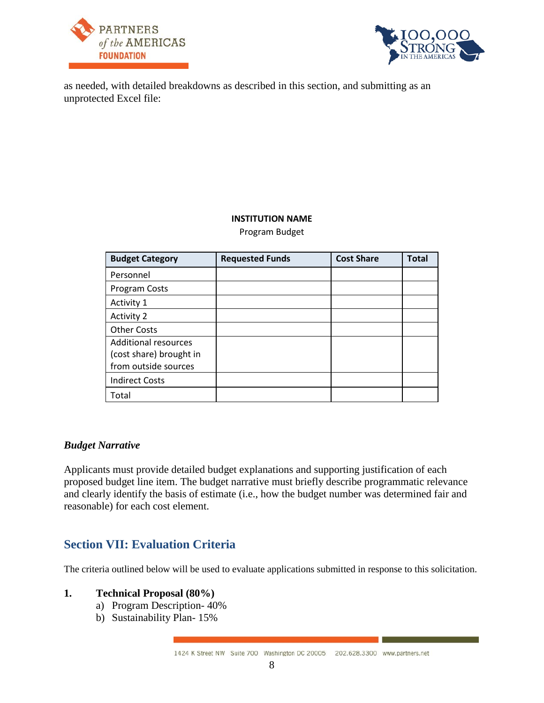



as needed, with detailed breakdowns as described in this section, and submitting as an unprotected Excel file:

#### **INSTITUTION NAME**

Program Budget

| <b>Budget Category</b>      | <b>Requested Funds</b> | <b>Cost Share</b> | <b>Total</b> |
|-----------------------------|------------------------|-------------------|--------------|
| Personnel                   |                        |                   |              |
| Program Costs               |                        |                   |              |
| Activity 1                  |                        |                   |              |
| <b>Activity 2</b>           |                        |                   |              |
| <b>Other Costs</b>          |                        |                   |              |
| <b>Additional resources</b> |                        |                   |              |
| (cost share) brought in     |                        |                   |              |
| from outside sources        |                        |                   |              |
| <b>Indirect Costs</b>       |                        |                   |              |
| Total                       |                        |                   |              |

#### *Budget Narrative*

Applicants must provide detailed budget explanations and supporting justification of each proposed budget line item. The budget narrative must briefly describe programmatic relevance and clearly identify the basis of estimate (i.e., how the budget number was determined fair and reasonable) for each cost element.

### **Section VII: Evaluation Criteria**

The criteria outlined below will be used to evaluate applications submitted in response to this solicitation.

#### **1. Technical Proposal (80%)**

- a) Program Description- 40%
- b) Sustainability Plan- 15%